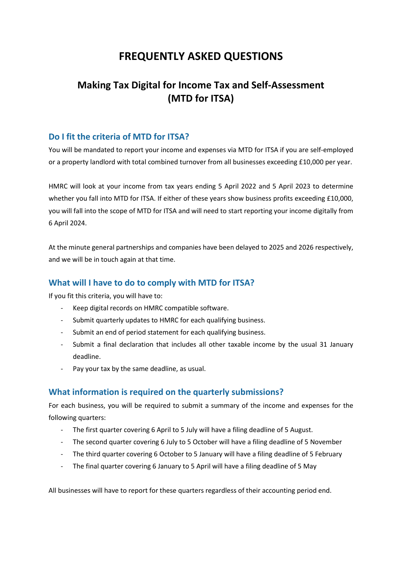# **FREQUENTLY ASKED QUESTIONS**

# **Making Tax Digital for Income Tax and Self-Assessment (MTD for ITSA)**

## **Do I fit the criteria of MTD for ITSA?**

You will be mandated to report your income and expenses via MTD for ITSA if you are self-employed or a property landlord with total combined turnover from all businesses exceeding £10,000 per year.

HMRC will look at your income from tax years ending 5 April 2022 and 5 April 2023 to determine whether you fall into MTD for ITSA. If either of these years show business profits exceeding £10,000, you will fall into the scope of MTD for ITSA and will need to start reporting your income digitally from 6 April 2024.

At the minute general partnerships and companies have been delayed to 2025 and 2026 respectively, and we will be in touch again at that time.

### **What will I have to do to comply with MTD for ITSA?**

If you fit this criteria, you will have to:

- Keep digital records on HMRC compatible software.
- Submit quarterly updates to HMRC for each qualifying business.
- Submit an end of period statement for each qualifying business.
- Submit a final declaration that includes all other taxable income by the usual 31 January deadline.
- Pay your tax by the same deadline, as usual.

## **What information is required on the quarterly submissions?**

For each business, you will be required to submit a summary of the income and expenses for the following quarters:

- The first quarter covering 6 April to 5 July will have a filing deadline of 5 August.
- The second quarter covering 6 July to 5 October will have a filing deadline of 5 November
- The third quarter covering 6 October to 5 January will have a filing deadline of 5 February
- The final quarter covering 6 January to 5 April will have a filing deadline of 5 May

All businesses will have to report for these quarters regardless of their accounting period end.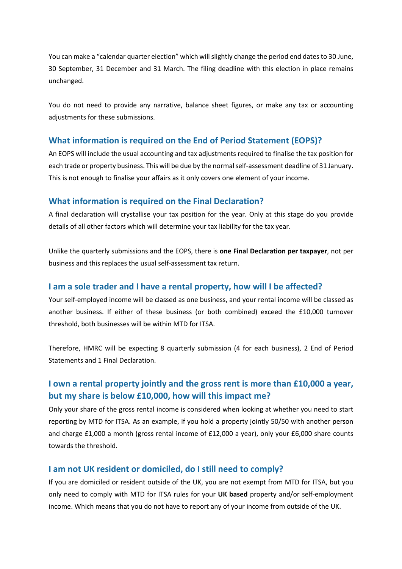You can make a "calendar quarter election" which will slightly change the period end dates to 30 June, 30 September, 31 December and 31 March. The filing deadline with this election in place remains unchanged.

You do not need to provide any narrative, balance sheet figures, or make any tax or accounting adjustments for these submissions.

#### **What information is required on the End of Period Statement (EOPS)?**

An EOPS will include the usual accounting and tax adjustments required to finalise the tax position for each trade or property business. This will be due by the normal self-assessment deadline of 31 January. This is not enough to finalise your affairs as it only covers one element of your income.

#### **What information is required on the Final Declaration?**

A final declaration will crystallise your tax position for the year. Only at this stage do you provide details of all other factors which will determine your tax liability for the tax year.

Unlike the quarterly submissions and the EOPS, there is **one Final Declaration per taxpayer**, not per business and this replaces the usual self-assessment tax return.

#### **I am a sole trader and I have a rental property, how will I be affected?**

Your self-employed income will be classed as one business, and your rental income will be classed as another business. If either of these business (or both combined) exceed the £10,000 turnover threshold, both businesses will be within MTD for ITSA.

Therefore, HMRC will be expecting 8 quarterly submission (4 for each business), 2 End of Period Statements and 1 Final Declaration.

## **I own a rental property jointly and the gross rent is more than £10,000 a year, but my share is below £10,000, how will this impact me?**

Only your share of the gross rental income is considered when looking at whether you need to start reporting by MTD for ITSA. As an example, if you hold a property jointly 50/50 with another person and charge £1,000 a month (gross rental income of £12,000 a year), only your £6,000 share counts towards the threshold.

#### **I am not UK resident or domiciled, do I still need to comply?**

If you are domiciled or resident outside of the UK, you are not exempt from MTD for ITSA, but you only need to comply with MTD for ITSA rules for your **UK based** property and/or self-employment income. Which means that you do not have to report any of your income from outside of the UK.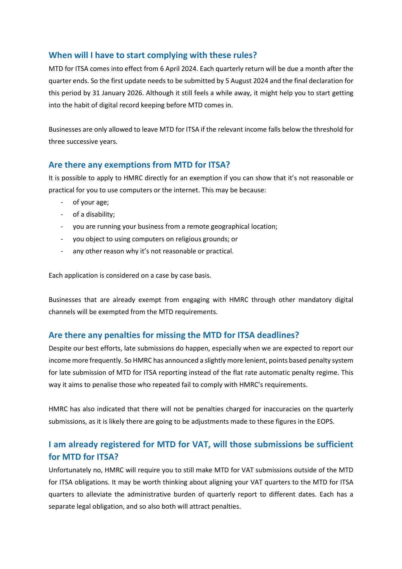## **When will I have to start complying with these rules?**

MTD for ITSA comes into effect from 6 April 2024. Each quarterly return will be due a month after the quarter ends. So the first update needs to be submitted by 5 August 2024 and the final declaration for this period by 31 January 2026. Although it still feels a while away, it might help you to start getting into the habit of digital record keeping before MTD comes in.

Businesses are only allowed to leave MTD for ITSA if the relevant income falls below the threshold for three successive years.

## **Are there any exemptions from MTD for ITSA?**

It is possible to apply to HMRC directly for an exemption if you can show that it's not reasonable or practical for you to use computers or the internet. This may be because:

- of your age;
- of a disability;
- you are running your business from a remote geographical location;
- you object to using computers on religious grounds; or
- any other reason why it's not reasonable or practical.

Each application is considered on a case by case basis.

Businesses that are already exempt from engaging with HMRC through other mandatory digital channels will be exempted from the MTD requirements.

## **Are there any penalties for missing the MTD for ITSA deadlines?**

Despite our best efforts, late submissions do happen, especially when we are expected to report our income more frequently. So HMRC has announced a slightly more lenient, points based penalty system for late submission of MTD for ITSA reporting instead of the flat rate automatic penalty regime. This way it aims to penalise those who repeated fail to comply with HMRC's requirements.

HMRC has also indicated that there will not be penalties charged for inaccuracies on the quarterly submissions, as it is likely there are going to be adjustments made to these figures in the EOPS.

## **I am already registered for MTD for VAT, will those submissions be sufficient for MTD for ITSA?**

Unfortunately no, HMRC will require you to still make MTD for VAT submissions outside of the MTD for ITSA obligations. It may be worth thinking about aligning your VAT quarters to the MTD for ITSA quarters to alleviate the administrative burden of quarterly report to different dates. Each has a separate legal obligation, and so also both will attract penalties.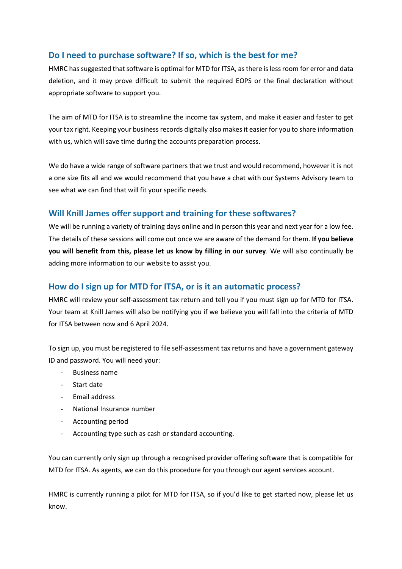## **Do I need to purchase software? If so, which is the best for me?**

HMRC has suggested that software is optimal for MTD for ITSA, as there is less room for error and data deletion, and it may prove difficult to submit the required EOPS or the final declaration without appropriate software to support you.

The aim of MTD for ITSA is to streamline the income tax system, and make it easier and faster to get your tax right. Keeping your business records digitally also makes it easier for you to share information with us, which will save time during the accounts preparation process.

We do have a wide range of software partners that we trust and would recommend, however it is not a one size fits all and we would recommend that you have a chat with our Systems Advisory team to see what we can find that will fit your specific needs.

## **Will Knill James offer support and training for these softwares?**

We will be running a variety of training days online and in person this year and next year for a low fee. The details of these sessions will come out once we are aware of the demand for them. **If you believe you will benefit from this, please let us know by filling in our survey**. We will also continually be adding more information to our website to assist you.

## **How do I sign up for MTD for ITSA, or is it an automatic process?**

HMRC will review your self-assessment tax return and tell you if you must sign up for MTD for ITSA. Your team at Knill James will also be notifying you if we believe you will fall into the criteria of MTD for ITSA between now and 6 April 2024.

To sign up, you must be registered to file self-assessment tax returns and have a government gateway ID and password. You will need your:

- Business name
- Start date
- Email address
- National Insurance number
- Accounting period
- Accounting type such as cash or standard accounting.

You can currently only sign up through a recognised provider offering software that is compatible for MTD for ITSA. As agents, we can do this procedure for you through our agent services account.

HMRC is currently running a pilot for MTD for ITSA, so if you'd like to get started now, please let us know.